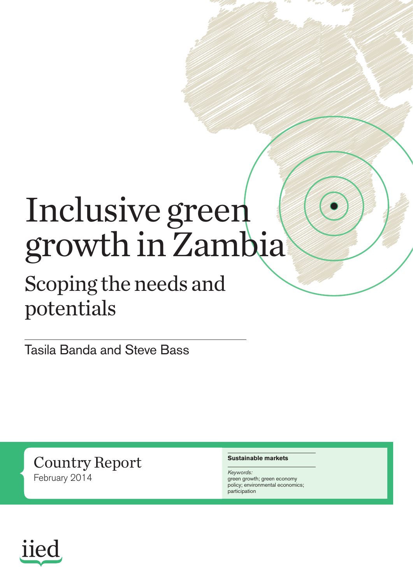# Inclusive green growth in Zambia

## Scoping the needs and potentials

Tasila Banda and Steve Bass

Country Report February 2014

#### **Sustainable markets**

*Keywords:* green growth; green economy policy; environmental economics; participation

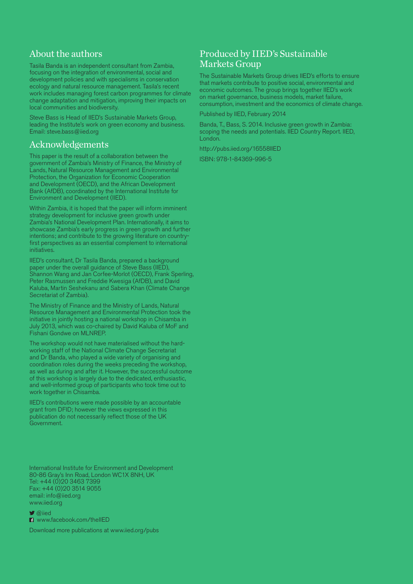#### About the authors

Tasila Banda is an independent consultant from Zambia, focusing on the integration of environmental, social and development policies and with specialisms in conservation ecology and natural resource management. Tasila's recent work includes managing forest carbon programmes for climate change adaptation and mitigation, improving their impacts on local communities and biodiversity.

Steve Bass is Head of IIED's Sustainable Markets Group, leading the Institute's work on green economy and business. Email: [steve.bass@iied.org](mailto:steve.bass@iied.org)

#### Acknowledgements

This paper is the result of a collaboration between the government of Zambia's Ministry of Finance, the Ministry of Lands, Natural Resource Management and Environmental Protection, the Organization for Economic Cooperation and Development (OECD), and the African Development Bank (AfDB), coordinated by the International Institute for Environment and Development (IIED).

Within Zambia, it is hoped that the paper will inform imminent strategy development for inclusive green growth under Zambia's National Development Plan. Internationally, it aims to showcase Zambia's early progress in green growth and further intentions; and contribute to the growing literature on countryfirst perspectives as an essential complement to international initiatives.

IIED's consultant, Dr Tasila Banda, prepared a background paper under the overall guidance of Steve Bass (IIED), Shannon Wang and Jan Corfee-Morlot (OECD), Frank Sperling, Peter Rasmussen and Freddie Kwesiga (AfDB), and David Kaluba, Martin Seshekanu and Sabera Khan (Climate Change Secretariat of Zambia).

The Ministry of Finance and the Ministry of Lands, Natural Resource Management and Environmental Protection took the initiative in jointly hosting a national workshop in Chisamba in July 2013, which was co-chaired by David Kaluba of MoF and Fishani Gondwe on MLNREP.

The workshop would not have materialised without the hardworking staff of the National Climate Change Secretariat and Dr Banda, who played a wide variety of organising and coordination roles during the weeks preceding the workshop, as well as during and after it. However, the successful outcome of this workshop is largely due to the dedicated, enthusiastic, and well-informed group of participants who took time out to work together in Chisamba.

IIED's contributions were made possible by an accountable grant from DFID; however the views expressed in this publication do not necessarily reflect those of the UK Government.

International Institute for Environment and Development 80-86 Gray's Inn Road, London WC1X 8NH, UK Tel: +44 (0)20 3463 7399 Fax: +44 (0)20 3514 9055 email: info@iied.org www.iied.org

 $\blacktriangleright$  @iied

**n** www.facebook.com/theIIED

Download more publications at www.iied.org/pubs

#### Produced by IIED's Sustainable Markets Group

The Sustainable Markets Group drives IIED's efforts to ensure that markets contribute to positive social, environmental and economic outcomes. The group brings together IIED's work on market governance, business models, market failure, consumption, investment and the economics of climate change.

Published by IIED, February 2014

Banda, T., Bass, S. 2014. Inclusive green growth in Zambia: scoping the needs and potentials. IIED Country Report. IIED, London.

http://pubs.iied.org/16558IIED

ISBN: 978-1-84369-996-5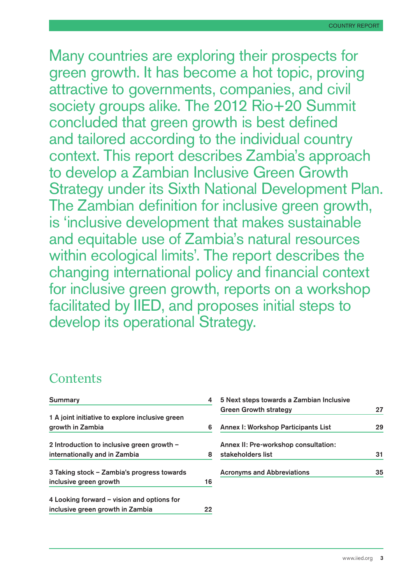Many countries are exploring their prospects for green growth. It has become a hot topic, proving attractive to governments, companies, and civil society groups alike. The 2012 Rio+20 Summit concluded that green growth is best defined and tailored according to the individual country context. This report describes Zambia's approach to develop a Zambian Inclusive Green Growth Strategy under its Sixth National Development Plan. The Zambian definition for inclusive green growth, is 'inclusive development that makes sustainable and equitable use of Zambia's natural resources within ecological limits'. The report describes the changing international policy and financial context for inclusive green growth, reports on a workshop facilitated by IIED, and proposes initial steps to develop its operational Strategy.

## **Contents**

| Summary                                         |    |
|-------------------------------------------------|----|
| 1 A joint initiative to explore inclusive green |    |
| growth in Zambia                                | 6  |
| 2 Introduction to inclusive green growth $-$    |    |
| internationally and in Zambia                   | 8  |
| 3 Taking stock – Zambia's progress towards      |    |
| inclusive green growth                          | 16 |
| 4 Looking forward – vision and options for      |    |
| inclusive green growth in Zambia                | 22 |

| 5 Next steps towards a Zambian Inclusive   |    |
|--------------------------------------------|----|
| <b>Green Growth strategy</b>               | 27 |
| <b>Annex I: Workshop Participants List</b> | 29 |
| Annex II: Pre-workshop consultation:       |    |
| stakeholders list                          | 31 |
| <b>Acronyms and Abbreviations</b>          | 35 |
|                                            |    |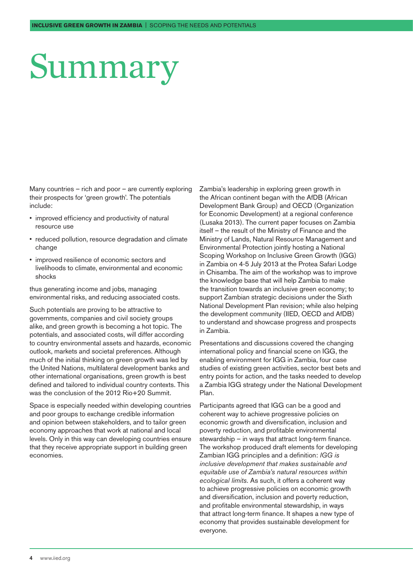## <span id="page-3-0"></span>Summary

Many countries – rich and poor – are currently exploring their prospects for 'green growth'. The potentials include:

- improved efficiency and productivity of natural resource use
- reduced pollution, resource degradation and climate change
- improved resilience of economic sectors and livelihoods to climate, environmental and economic shocks

thus generating income and jobs, managing environmental risks, and reducing associated costs.

Such potentials are proving to be attractive to governments, companies and civil society groups alike, and green growth is becoming a hot topic. The potentials, and associated costs, will differ according to country environmental assets and hazards, economic outlook, markets and societal preferences. Although much of the initial thinking on green growth was led by the United Nations, multilateral development banks and other international organisations, green growth is best defined and tailored to individual country contexts. This was the conclusion of the 2012 Rio+20 Summit.

Space is especially needed within developing countries and poor groups to exchange credible information and opinion between stakeholders, and to tailor green economy approaches that work at national and local levels. Only in this way can developing countries ensure that they receive appropriate support in building green economies.

Zambia's leadership in exploring green growth in the African continent began with the AfDB (African Development Bank Group) and OECD (Organization for Economic Development) at a regional conference (Lusaka 2013). The current paper focuses on Zambia itself – the result of the Ministry of Finance and the Ministry of Lands, Natural Resource Management and Environmental Protection jointly hosting a National Scoping Workshop on Inclusive Green Growth (IGG) in Zambia on 4-5 July 2013 at the Protea Safari Lodge in Chisamba. The aim of the workshop was to improve the knowledge base that will help Zambia to make the transition towards an inclusive green economy; to support Zambian strategic decisions under the Sixth National Development Plan revision; while also helping the development community (IIED, OECD and AfDB) to understand and showcase progress and prospects in Zambia.

Presentations and discussions covered the changing international policy and financial scene on IGG, the enabling environment for IGG in Zambia, four case studies of existing green activities, sector best bets and entry points for action, and the tasks needed to develop a Zambia IGG strategy under the National Development Plan.

Participants agreed that IGG can be a good and coherent way to achieve progressive policies on economic growth and diversification, inclusion and poverty reduction, and profitable environmental stewardship – in ways that attract long-term finance. The workshop produced draft elements for developing Zambian IGG principles and a definition: *IGG is inclusive development that makes sustainable and equitable use of Zambia's natural resources within ecological limits.* As such, it offers a coherent way to achieve progressive policies on economic growth and diversification, inclusion and poverty reduction, and profitable environmental stewardship, in ways that attract long-term finance. It shapes a new type of economy that provides sustainable development for everyone.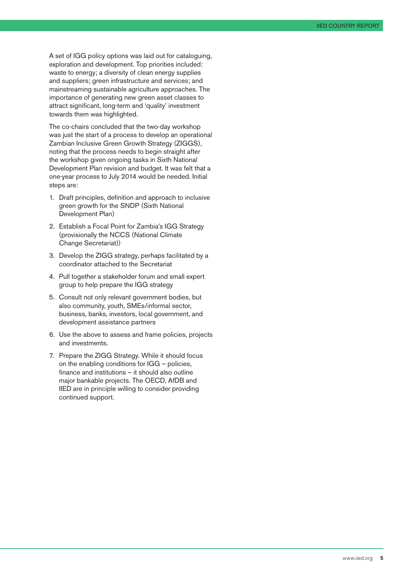A set of IGG policy options was laid out for cataloguing, exploration and development. Top priorities included: waste to energy; a diversity of clean energy supplies and suppliers; green infrastructure and services; and mainstreaming sustainable agriculture approaches. The importance of generating new green asset classes to attract significant, long-term and 'quality' investment towards them was highlighted.

The co-chairs concluded that the two-day workshop was just the start of a process to develop an operational Zambian Inclusive Green Growth Strategy (ZIGGS), noting that the process needs to begin straight after the workshop given ongoing tasks in Sixth National Development Plan revision and budget. It was felt that a one-year process to July 2014 would be needed. Initial steps are:

- 1. Draft principles, definition and approach to inclusive green growth for the SNDP (Sixth National Development Plan)
- 2. Establish a Focal Point for Zambia's IGG Strategy (provisionally the NCCS (National Climate Change Secretariat))
- 3. Develop the ZIGG strategy, perhaps facilitated by a coordinator attached to the Secretariat
- 4. Pull together a stakeholder forum and small expert group to help prepare the IGG strategy
- 5. Consult not only relevant government bodies, but also community, youth, SMEs/informal sector, business, banks, investors, local government, and development assistance partners
- 6. Use the above to assess and frame policies, projects and investments.
- 7. Prepare the ZIGG Strategy. While it should focus on the enabling conditions for IGG – policies, finance and institutions – it should also outline major bankable projects. The OECD, AfDB and IIED are in principle willing to consider providing continued support.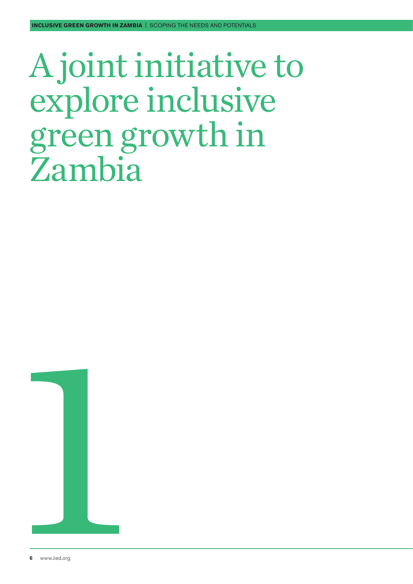## <span id="page-5-0"></span>A joint initiative to explore inclusive green growth in Zambia

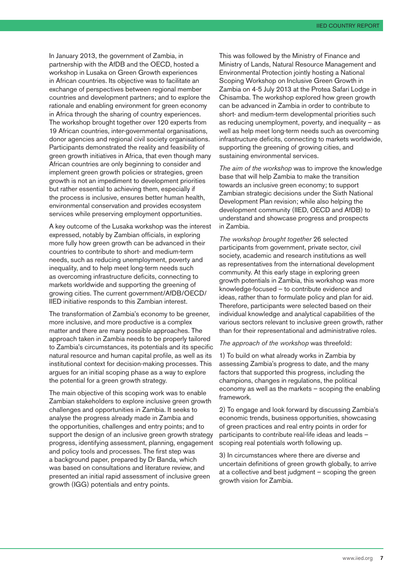In January 2013, the government of Zambia, in partnership with the AfDB and the OECD, hosted a workshop in Lusaka on Green Growth experiences in African countries. Its objective was to facilitate an exchange of perspectives between regional member countries and development partners; and to explore the rationale and enabling environment for green economy in Africa through the sharing of country experiences. The workshop brought together over 120 experts from 19 African countries, inter-governmental organisations, donor agencies and regional civil society organisations. Participants demonstrated the reality and feasibility of green growth initiatives in Africa, that even though many African countries are only beginning to consider and implement green growth policies or strategies, green growth is not an impediment to development priorities but rather essential to achieving them, especially if the process is inclusive, ensures better human health, environmental conservation and provides ecosystem services while preserving employment opportunities.

A key outcome of the Lusaka workshop was the interest expressed, notably by Zambian officials, in exploring more fully how green growth can be advanced in their countries to contribute to short- and medium-term needs, such as reducing unemployment, poverty and inequality, and to help meet long-term needs such as overcoming infrastructure deficits, connecting to markets worldwide and supporting the greening of growing cities. The current government/AfDB/OECD/ IIED initiative responds to this Zambian interest.

The transformation of Zambia's economy to be greener, more inclusive, and more productive is a complex matter and there are many possible approaches. The approach taken in Zambia needs to be properly tailored to Zambia's circumstances, its potentials and its specific natural resource and human capital profile, as well as its institutional context for decision-making processes. This argues for an initial scoping phase as a way to explore the potential for a green growth strategy.

The main objective of this scoping work was to enable Zambian stakeholders to explore inclusive green growth challenges and opportunities in Zambia. It seeks to analyse the progress already made in Zambia and the opportunities, challenges and entry points; and to support the design of an inclusive green growth strategy progress, identifying assessment, planning, engagement and policy tools and processes. The first step was a background paper, prepared by Dr Banda, which was based on consultations and literature review, and presented an initial rapid assessment of inclusive green growth (IGG) potentials and entry points.

This was followed by the Ministry of Finance and Ministry of Lands, Natural Resource Management and Environmental Protection jointly hosting a National Scoping Workshop on Inclusive Green Growth in Zambia on 4-5 July 2013 at the Protea Safari Lodge in Chisamba. The workshop explored how green growth can be advanced in Zambia in order to contribute to short- and medium-term developmental priorities such as reducing unemployment, poverty, and inequality – as well as help meet long-term needs such as overcoming infrastructure deficits, connecting to markets worldwide, supporting the greening of growing cities, and sustaining environmental services.

*The aim of the workshop* was to improve the knowledge base that will help Zambia to make the transition towards an inclusive green economy; to support Zambian strategic decisions under the Sixth National Development Plan revision; while also helping the development community (IIED, OECD and AfDB) to understand and showcase progress and prospects in Zambia.

*The workshop brought together* 26 selected participants from government, private sector, civil society, academic and research institutions as well as representatives from the international development community. At this early stage in exploring green growth potentials in Zambia, this workshop was more knowledge-focused – to contribute evidence and ideas, rather than to formulate policy and plan for aid. Therefore, participants were selected based on their individual knowledge and analytical capabilities of the various sectors relevant to inclusive green growth, rather than for their representational and administrative roles.

*The approach of the workshop* was threefold:

1) To build on what already works in Zambia by assessing Zambia's progress to date, and the many factors that supported this progress, including the champions, changes in regulations, the political economy as well as the markets – scoping the enabling framework.

2) To engage and look forward by discussing Zambia's economic trends, business opportunities, showcasing of green practices and real entry points in order for participants to contribute real-life ideas and leads – scoping real potentials worth following up.

3) In circumstances where there are diverse and uncertain definitions of green growth globally, to arrive at a collective and best judgment – scoping the green growth vision for Zambia.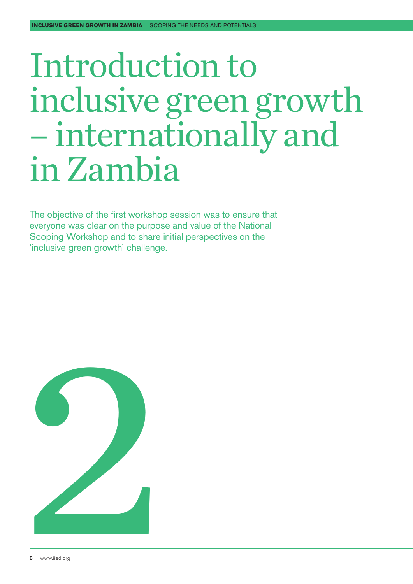## <span id="page-7-0"></span>Introduction to inclusive green growth – internationally and in Zambia

The objective of the first workshop session was to ensure that everyone was clear on the purpose and value of the National Scoping Workshop and to share initial perspectives on the 'inclusive green growth' challenge.

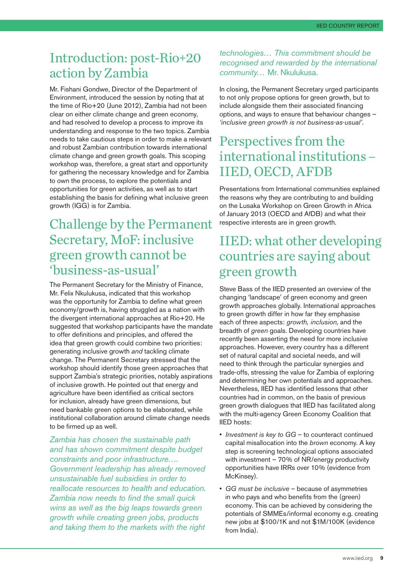## Introduction: post-Rio+20 action by Zambia

Mr. Fishani Gondwe, Director of the Department of Environment, introduced the session by noting that at the time of Rio+20 (June 2012), Zambia had not been clear on either climate change and green economy, and had resolved to develop a process to improve its understanding and response to the two topics. Zambia needs to take cautious steps in order to make a relevant and robust Zambian contribution towards international climate change and green growth goals. This scoping workshop was, therefore, a great start and opportunity for gathering the necessary knowledge and for Zambia to own the process, to explore the potentials and opportunities for green activities, as well as to start establishing the basis for defining what inclusive green growth (IGG) is for Zambia.

### Challenge by the Permanent Secretary, MoF: inclusive green growth cannot be 'business-as-usual'

The Permanent Secretary for the Ministry of Finance, Mr. Felix Nkulukusa, indicated that this workshop was the opportunity for Zambia to define what green economy/growth is, having struggled as a nation with the divergent international approaches at Rio+20. He suggested that workshop participants have the mandate to offer definitions and principles, and offered the idea that green growth could combine two priorities: generating inclusive growth *and* tackling climate change. The Permanent Secretary stressed that the workshop should identify those green approaches that support Zambia's strategic priorities, notably aspirations of inclusive growth. He pointed out that energy and agriculture have been identified as critical sectors for inclusion, already have green dimensions, but need bankable green options to be elaborated, while institutional collaboration around climate change needs to be firmed up as well.

*Zambia has chosen the sustainable path and has shown commitment despite budget constraints and poor infrastructure…. Government leadership has already removed unsustainable fuel subsidies in order to reallocate resources to health and education. Zambia now needs to find the small quick wins as well as the big leaps towards green growth while creating green jobs, products and taking them to the markets with the right* 

#### *technologies… This commitment should be recognised and rewarded by the international community…* Mr. Nkulukusa.

In closing, the Permanent Secretary urged participants to not only propose options for green growth, but to include alongside them their associated financing options, and ways to ensure that behaviour changes – *'inclusive green growth is not business-as-usual'*.

## Perspectives from the international institutions – IIED, OECD, AFDB

Presentations from International communities explained the reasons why they are contributing to and building on the Lusaka Workshop on Green Growth in Africa of January 2013 (OECD and AfDB) and what their respective interests are in green growth.

### IIED: what other developing countries are saying about green growth

Steve Bass of the IIED presented an overview of the changing 'landscape' of green economy and green growth approaches globally. International approaches to green growth differ in how far they emphasise each of three aspects: *growth, inclusion,* and the breadth of *green* goals. Developing countries have recently been asserting the need for more inclusive approaches. However, every country has a different set of natural capital and societal needs, and will need to think through the particular synergies and trade-offs, stressing the value for Zambia of exploring and determining her own potentials and approaches. Nevertheless, IIED has identified lessons that other countries had in common, on the basis of previous green growth dialogues that IIED has facilitated along with the multi-agency Green Economy Coalition that IIED hosts:

- *Investment is key to GG* to counteract continued capital misallocation into the *brown* economy. A key step is screening technological options associated with investment – 70% of NR/energy productivity opportunities have IRRs over 10% (evidence from McKinsey).
- *GG must be inclusive* because of asymmetries in who pays and who benefits from the (green) economy. This can be achieved by considering the potentials of SMMEs/informal economy e.g. creating new jobs at \$100/1K and not \$1M/100K (evidence from India).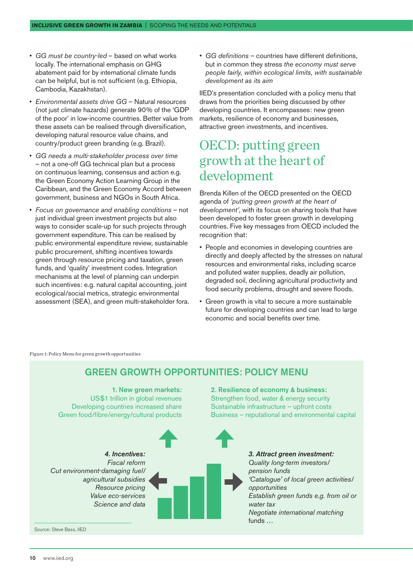- *GG must be country-led* based on what works locally. The international emphasis on GHG abatement paid for by international climate funds can be helpful, but is not sufficient (e.g. Ethiopia, Cambodia, Kazakhstan).
- *Environmental assets drive GG* Natural resources (not just climate hazards) generate 90% of the 'GDP of the poor' in low-income countries. Better value from these assets can be realised through diversification, developing natural resource value chains, and country/product green branding (e.g. Brazil).
- *GG needs a multi-stakeholder process over time* – not a one-off GG technical plan but a process on continuous learning, consensus and action e.g. the Green Economy Action Learning Group in the Caribbean, and the Green Economy Accord between government, business and NGOs in South Africa.
- *Focus on governance and enabling conditions* not just individual green investment projects but also ways to consider scale-up for such projects through government expenditure. This can be realised by public environmental expenditure review, sustainable public procurement, shifting incentives towards green through resource pricing and taxation, green funds, and 'quality' investment codes. Integration mechanisms at the level of planning can underpin such incentives: e.g. natural capital accounting, joint ecological/social metrics, strategic environmental assessment (SEA), and green multi-stakeholder fora.

• *GG definitions* – countries have different definitions, but in common they stress *the economy must serve people fairly, within ecological limits, with sustainable development as its aim*

IIED's presentation concluded with a policy menu that draws from the priorities being discussed by other developing countries. It encompasses: new green markets, resilience of economy and businesses, attractive green investments, and incentives.

### OECD: putting green growth at the heart of development

Brenda Killen of the OECD presented on the OECD agenda of *'putting green growth at the heart of development'*, with its focus on sharing tools that have been developed to foster green growth in developing countries. Five key messages from OECD included the recognition that:

- People and economies in developing countries are directly and deeply affected by the stresses on natural resources and environmental risks, including scarce and polluted water supplies, deadly air pollution, degraded soil, declining agricultural productivity and food security problems, drought and severe floods.
- Green growth is vital to secure a more sustainable future for developing countries and can lead to large economic and social benefits over time.

Figure 1: Policy Menu for green growth opportunities



#### **GREEN GROWTH OPPORTUNITIES: POLICY MENU**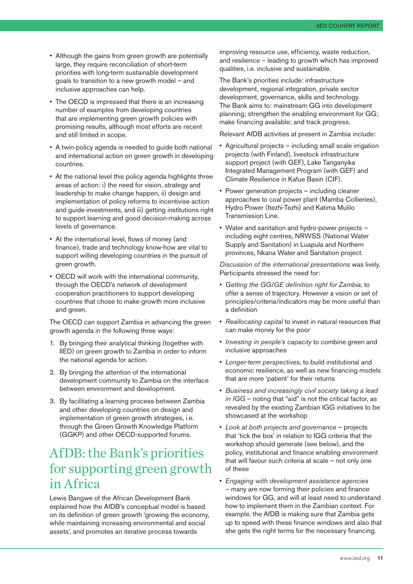- Although the gains from green growth are potentially large, they require reconciliation of short-term priorities with long-term sustainable development goals to transition to a new growth model – and inclusive approaches can help.
- The OECD is impressed that there is an increasing number of examples from developing countries that are implementing green growth policies with promising results, although most efforts are recent and still limited in scope.
- A twin-policy agenda is needed to guide both national and international action on green growth in developing countries.
- At the national level this policy agenda highlights three areas of action: i) the need for vision, strategy and leadership to make change happen, ii) design and implementation of policy reforms to incentivise action and guide investments, and iii) getting institutions right to support learning and good decision-making across levels of governance.
- At the international level, flows of money (and finance), trade and technology know-how are vital to support willing developing countries in the pursuit of green growth.
- OECD will work with the international community, through the OECD's network of development cooperation practitioners to support developing countries that chose to make growth more inclusive and green.

The OECD can support Zambia in advancing the green growth agenda in the following three ways:

- 1. By bringing their analytical thinking (together with IIED) on green growth to Zambia in order to inform the national agenda for action.
- 2. By bringing the attention of the international development community to Zambia on the interface between environment and development.
- 3. By facilitating a learning process between Zambia and other developing countries on design and implementation of green growth strategies, i.e. through the Green Growth Knowledge Platform (GGKP) and other OECD-supported forums.

## AfDB: the Bank's priorities for supporting green growth in Africa

Lewis Bangwe of the African Development Bank explained how the AfDB's conceptual model is based on its definition of green growth 'growing the economy, while maintaining increasing environmental and social assets', and promotes an iterative process towards

improving resource use, efficiency, waste reduction, and resilience – leading to growth which has improved qualities, i.e. inclusive and sustainable.

The Bank's priorities include: infrastructure development, regional integration, private sector development, governance, skills and technology. The Bank aims to: mainstream GG into development planning; strengthen the enabling environment for GG; make financing available; and track progress.

Relevant AfDB activities at present in Zambia include:

- Agricultural projects including small scale irrigation projects (with Finland), livestock infrastructure support project (with GEF), Lake Tanganyika Integrated Management Program (with GEF) and Climate Resilience in Kafue Basin (CIF).
- Power generation projects including cleaner approaches to coal power plant (Mamba Collieries), Hydro Power (Itezhi-Tezhi) and Katima Mulilo Transmission Line.
- Water and sanitation and hydro-power projects including eight centres, NRWSS (National Water Supply and Sanitation) in Luapula and Northern provinces, Nkana Water and Sanitation project.

*Discussion of the international presentations* was lively. Participants stressed the need for:

- *Getting the GG/GE definition right for Zambia*, to offer a sense of trajectory. However a vision or set of principles/criteria/indicators may be more useful than a definition
- *Reallocating capital* to invest in natural resources that can make money for the poor
- *Investing in people's capacity* to combine green and inclusive approaches
- *Longer-term perspectives*, to build institutional and economic resilience, as well as new financing models that are more 'patient' for their returns
- *Business and increasingly civil society taking a lead in IGG* – noting that "aid" is not the critical factor, as revealed by the existing Zambian IGG initiatives to be showcased at the workshop
- *Look at both projects and governance* projects that 'tick the box' in relation to IGG criteria that the workshop should generate (see below), and the policy, institutional and finance enabling environment that will favour such criteria at scale – not only one of these
- *Engaging with development assistance agencies* – many are now forming their policies and finance windows for GG, and will at least need to understand how to implement them in the Zambian context. For example, the AfDB is making sure that Zambia gets up to speed with these finance windows and also that she gets the right terms for the necessary financing.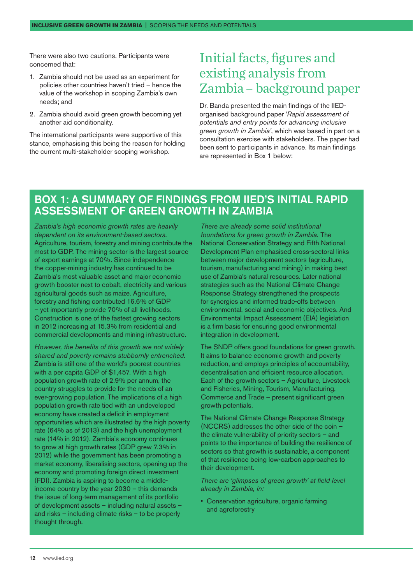There were also two cautions. Participants were concerned that:

- 1. Zambia should not be used as an experiment for policies other countries haven't tried – hence the value of the workshop in scoping Zambia's own needs; and
- 2. Zambia should avoid green growth becoming yet another aid conditionality.

The international participants were supportive of this stance, emphasising this being the reason for holding the current multi-stakeholder scoping workshop.

### Initial facts, figures and existing analysis from Zambia – background paper

Dr. Banda presented the main findings of the IIEDorganised background paper '*Rapid assessment of potentials and entry points for advancing inclusive green growth in Zambia'*, which was based in part on a consultation exercise with stakeholders. The paper had been sent to participants in advance. Its main findings are represented in Box 1 below:

#### Box 1: A summary of findings from IIED's initial rapid assessment of green growth in Zambia

*Zambia's high economic growth rates are heavily dependent on its environment-based sectors.*  Agriculture, tourism, forestry and mining contribute the most to GDP. The mining sector is the largest source of export earnings at 70%. Since independence the copper-mining industry has continued to be Zambia's most valuable asset and major economic growth booster next to cobalt, electricity and various agricultural goods such as maize. Agriculture, forestry and fishing contributed 16.6% of GDP – yet importantly provide 70% of all livelihoods. Construction is one of the fastest growing sectors in 2012 increasing at 15.3% from residential and commercial developments and mining infrastructure.

*However, the benefits of this growth are not widely shared and poverty remains stubbornly entrenched.*  Zambia is still one of the world's poorest countries with a per capita GDP of \$1,457. With a high population growth rate of 2.9% per annum, the country struggles to provide for the needs of an ever-growing population. The implications of a high population growth rate tied with an undeveloped economy have created a deficit in employment opportunities which are illustrated by the high poverty rate (64% as of 2013) and the high unemployment rate (14% in 2012). Zambia's economy continues to grow at high growth rates (GDP grew 7.3% in 2012) while the government has been promoting a market economy, liberalising sectors, opening up the economy and promoting foreign direct investment (FDI). Zambia is aspiring to become a middleincome country by the year 2030 – this demands the issue of long-term management of its portfolio of development assets – including natural assets – and risks – including climate risks – to be properly thought through.

*There are already some solid institutional foundations for green growth in Zambia.* The National Conservation Strategy and Fifth National Development Plan emphasised cross-sectoral links between major development sectors (agriculture, tourism, manufacturing and mining) in making best use of Zambia's natural resources. Later national strategies such as the National Climate Change Response Strategy strengthened the prospects for synergies and informed trade-offs between environmental, social and economic objectives. And Environmental Impact Assessment (EIA) legislation is a firm basis for ensuring good environmental integration in development.

The SNDP offers good foundations for green growth. It aims to balance economic growth and poverty reduction, and employs principles of accountability, decentralisation and efficient resource allocation. Each of the growth sectors – Agriculture, Livestock and Fisheries, Mining, Tourism, Manufacturing, Commerce and Trade – present significant green growth potentials.

The National Climate Change Response Strategy (NCCRS) addresses the other side of the coin – the climate vulnerability of priority sectors – and points to the importance of building the resilience of sectors so that growth is sustainable, a component of that resilience being low-carbon approaches to their development.

*There are 'glimpses of green growth' at field level already in Zambia, in:*

• Conservation agriculture, organic farming and agroforestry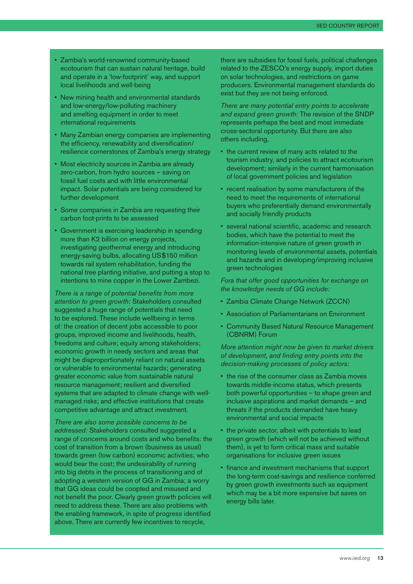- Zambia's world-renowned community-based ecotourism that can sustain natural heritage, build and operate in a 'low-footprint' way, and support local livelihoods and well-being
- New mining health and environmental standards and low-energy/low-polluting machinery and smelting equipment in order to meet international requirements
- Many Zambian energy companies are implementing the efficiency, renewability and diversification/ resilience cornerstones of Zambia's energy strategy
- Most electricity sources in Zambia are already zero-carbon, from hydro sources – saving on fossil fuel costs and with little environmental impact. Solar potentials are being considered for further development
- Some companies in Zambia are requesting their carbon foot-prints to be assessed
- Government is exercising leadership in spending more than K2 billion on energy projects, investigating geothermal energy and introducing energy-saving bulbs, allocating US\$150 million towards rail system rehabilitation, funding the national tree planting initiative, and putting a stop to intentions to mine copper in the Lower Zambezi.

*There is a range of potential benefits from more attention to green growth:* Stakeholders consulted suggested a huge range of potentials that need to be explored. These include wellbeing in terms of: the creation of decent jobs accessible to poor groups, improved income and livelihoods, health, freedoms and culture; equity among stakeholders; economic growth in needy sectors and areas that might be disproportionately reliant on natural assets or vulnerable to environmental hazards; generating greater economic value from sustainable natural resource management; resilient and diversified systems that are adapted to climate change with wellmanaged risks; and effective institutions that create competitive advantage and attract investment.

*There are also some possible concerns to be addressed:* Stakeholders consulted suggested a range of concerns around costs and who benefits: the cost of transition from a brown (business as usual) towards green (low carbon) economic activities; who would bear the cost; the undesirability of running into big debts in the process of transitioning and of adopting a western version of GG in Zambia; a worry that GG ideas could be coopted and misused and not benefit the poor. Clearly green growth policies will need to address these. There are also problems with the enabling framework, in spite of progress identified above. There are currently few incentives to recycle,

there are subsidies for fossil fuels, political challenges related to the ZESCO's energy supply, import duties on solar technologies, and restrictions on game producers. Environmental management standards do exist but they are not being enforced.

*There are many potential entry points to accelerate and expand green growth:* The revision of the SNDP represents perhaps the best and most immediate cross-sectoral opportunity. But there are also others including,

- the current review of many acts related to the tourism industry, and policies to attract ecotourism development; similarly in the current harmonisation of local government policies and legislation
- recent realisation by some manufacturers of the need to meet the requirements of international buyers who preferentially demand environmentally and socially friendly products
- several national scientific, academic and research bodies, which have the potential to meet the information-intensive nature of green growth in monitoring levels of environmental assets, potentials and hazards and in developing/improving inclusive green technologies

*Fora that offer good opportunities for exchange on the knowledge needs of GG include:*

- Zambia Climate Change Network (ZCCN)
- Association of Parliamentarians on Environment
- Community Based Natural Resource Management (CBNRM) Forum

*More attention might now be given to market drivers of development, and finding entry points into the decision-making processes of policy actors:*

- the rise of the consumer class as Zambia moves towards middle-income status, which presents both powerful opportunities – to shape green and inclusive aspirations and market demands – and threats if the products demanded have heavy environmental and social impacts
- the private sector, albeit with potentials to lead green growth (which will not be achieved without them), is yet to form critical mass and suitable organisations for inclusive green issues
- finance and investment mechanisms that support the long-term cost-savings and resilience conferred by green growth investments such as equipment which may be a bit more expensive but saves on energy bills later.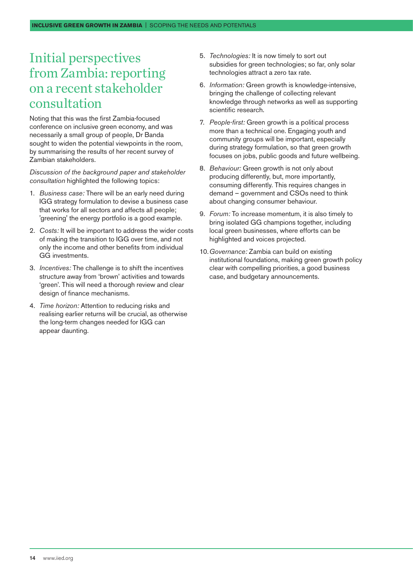## Initial perspectives from Zambia: reporting on a recent stakeholder consultation

Noting that this was the first Zambia-focused conference on inclusive green economy, and was necessarily a small group of people, Dr Banda sought to widen the potential viewpoints in the room, by summarising the results of her recent survey of Zambian stakeholders.

*Discussion of the background paper and stakeholder consultation* highlighted the following topics:

- 1. *Business case:* There will be an early need during IGG strategy formulation to devise a business case that works for all sectors and affects all people; 'greening' the energy portfolio is a good example.
- 2. *Costs:* It will be important to address the wider costs of making the transition to IGG over time, and not only the income and other benefits from individual GG investments.
- 3. *Incentives:* The challenge is to shift the incentives structure away from 'brown' activities and towards 'green'. This will need a thorough review and clear design of finance mechanisms.
- 4. *Time horizon:* Attention to reducing risks and realising earlier returns will be crucial, as otherwise the long-term changes needed for IGG can appear daunting.
- 5. *Technologies:* It is now timely to sort out subsidies for green technologies; so far, only solar technologies attract a zero tax rate.
- 6. *Information:* Green growth is knowledge-intensive, bringing the challenge of collecting relevant knowledge through networks as well as supporting scientific research.
- 7. *People-first:* Green growth is a political process more than a technical one. Engaging youth and community groups will be important, especially during strategy formulation, so that green growth focuses on jobs, public goods and future wellbeing.
- 8. *Behaviour:* Green growth is not only about producing differently, but, more importantly, consuming differently. This requires changes in demand – government and CSOs need to think about changing consumer behaviour.
- 9. *Forum:* To increase momentum, it is also timely to bring isolated GG champions together, including local green businesses, where efforts can be highlighted and voices projected.
- 10.*Governance:* Zambia can build on existing institutional foundations, making green growth policy clear with compelling priorities, a good business case, and budgetary announcements.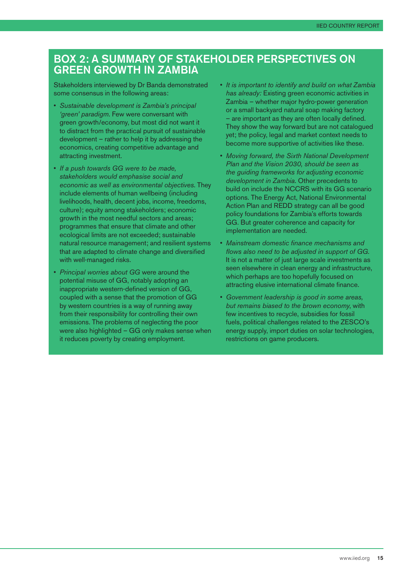#### Box 2: A summary of stakeholder perspectives on green growth in Zambia

Stakeholders interviewed by Dr Banda demonstrated some consensus in the following areas:

- *Sustainable development is Zambia's principal 'green' paradigm*. Few were conversant with green growth/economy, but most did not want it to distract from the practical pursuit of sustainable development – rather to help it by addressing the economics, creating competitive advantage and attracting investment.
- *If a push towards GG were to be made, stakeholders would emphasise social and economic as well as environmental objectives*. They include elements of human wellbeing (including livelihoods, health, decent jobs, income, freedoms, culture); equity among stakeholders; economic growth in the most needful sectors and areas; programmes that ensure that climate and other ecological limits are not exceeded; sustainable natural resource management; and resilient systems that are adapted to climate change and diversified with well-managed risks.
- *Principal worries about GG* were around the potential misuse of GG, notably adopting an inappropriate western-defined version of GG, coupled with a sense that the promotion of GG by western countries is a way of running away from their responsibility for controlling their own emissions. The problems of neglecting the poor were also highlighted – GG only makes sense when it reduces poverty by creating employment.
- *It is important to identify and build on what Zambia has already:* Existing green economic activities in Zambia – whether major hydro-power generation or a small backyard natural soap making factory – are important as they are often locally defined. They show the way forward but are not catalogued yet; the policy, legal and market context needs to become more supportive of activities like these.
- *Moving forward, the Sixth National Development Plan and the Vision 2030, should be seen as the guiding frameworks for adjusting economic development in Zambia*. Other precedents to build on include the NCCRS with its GG scenario options. The Energy Act, National Environmental Action Plan and REDD strategy can all be good policy foundations for Zambia's efforts towards GG. But greater coherence and capacity for implementation are needed.
- *Mainstream domestic finance mechanisms and flows also need to be adjusted in support of GG.*  It is not a matter of just large scale investments as seen elsewhere in clean energy and infrastructure, which perhaps are too hopefully focused on attracting elusive international climate finance.
- *Government leadership is good in some areas, but remains biased to the brown economy*, with few incentives to recycle, subsidies for fossil fuels, political challenges related to the ZESCO's energy supply, import duties on solar technologies, restrictions on game producers.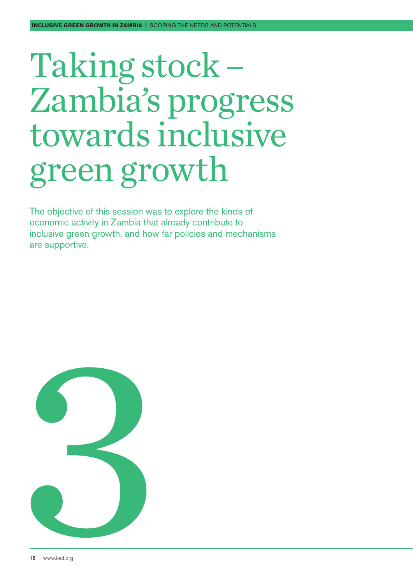# <span id="page-15-0"></span>Taking stock – Zambia's progress towards inclusive green growth

The objective of this session was to explore the kinds of economic activity in Zambia that already contribute to inclusive green growth, and how far policies and mechanisms are supportive.

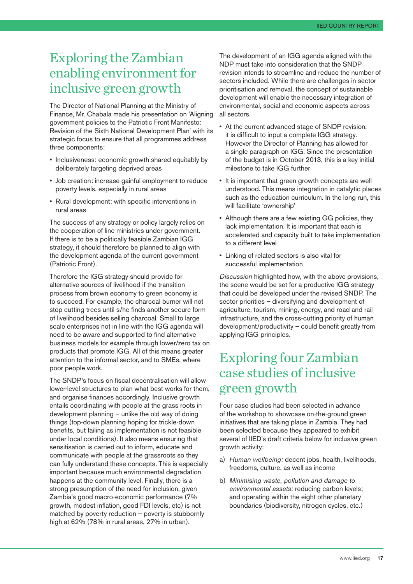## Exploring the Zambian enabling environment for inclusive green growth

The Director of National Planning at the Ministry of Finance, Mr. Chabala made his presentation on 'Aligning government policies to the Patriotic Front Manifesto: Revision of the Sixth National Development Plan' with its strategic focus to ensure that all programmes address three components:

- Inclusiveness: economic growth shared equitably by deliberately targeting deprived areas
- Job creation: increase gainful employment to reduce poverty levels, especially in rural areas
- Rural development: with specific interventions in rural areas

The success of any strategy or policy largely relies on the cooperation of line ministries under government. If there is to be a politically feasible Zambian IGG strategy, it should therefore be planned to align with the development agenda of the current government (Patriotic Front).

Therefore the IGG strategy should provide for alternative sources of livelihood if the transition process from brown economy to green economy is to succeed. For example, the charcoal burner will not stop cutting trees until s/he finds another secure form of livelihood besides selling charcoal. Small to large scale enterprises not in line with the IGG agenda will need to be aware and supported to find alternative business models for example through lower/zero tax on products that promote IGG. All of this means greater attention to the informal sector, and to SMEs, where poor people work.

The SNDP's focus on fiscal decentralisation will allow lower-level structures to plan what best works for them, and organise finances accordingly. Inclusive growth entails coordinating with people at the grass roots in development planning – unlike the old way of doing things (top-down planning hoping for trickle-down benefits, but failing as implementation is not feasible under local conditions). It also means ensuring that sensitisation is carried out to inform, educate and communicate with people at the grassroots so they can fully understand these concepts. This is especially important because much environmental degradation happens at the community level. Finally, there is a strong presumption of the need for inclusion, given Zambia's good macro-economic performance (7% growth, modest inflation, good FDI levels, etc) is not matched by poverty reduction – poverty is stubbornly high at 62% (78% in rural areas, 27% in urban).

The development of an IGG agenda aligned with the NDP must take into consideration that the SNDP revision intends to streamline and reduce the number of sectors included. While there are challenges in sector prioritisation and removal, the concept of sustainable development will enable the necessary integration of environmental, social and economic aspects across all sectors.

- At the current advanced stage of SNDP revision, it is difficult to input a complete IGG strategy. However the Director of Planning has allowed for a single paragraph on IGG. Since the presentation of the budget is in October 2013, this is a key initial milestone to take IGG further
- It is important that green growth concepts are well understood. This means integration in catalytic places such as the education curriculum. In the long run, this will facilitate 'ownership'
- Although there are a few existing GG policies, they lack implementation. It is important that each is accelerated and capacity built to take implementation to a different level
- Linking of related sectors is also vital for successful implementation

*Discussion* highlighted how, with the above provisions, the scene would be set for a productive IGG strategy that could be developed under the revised SNDP. The sector priorities – diversifying and development of agriculture, tourism, mining, energy, and road and rail infrastructure, and the cross-cutting priority of human development/productivity – could benefit greatly from applying IGG principles.

## Exploring four Zambian case studies of inclusive green growth

Four case studies had been selected in advance of the workshop to showcase on-the-ground green initiatives that are taking place in Zambia. They had been selected because they appeared to exhibit several of IIED's draft criteria below for inclusive green growth activity:

- a) *Human wellbeing:* decent jobs, health, livelihoods, freedoms, culture, as well as income
- b) *Minimising waste, pollution and damage to environmental assets:* reducing carbon levels; and operating within the eight other planetary boundaries (biodiversity, nitrogen cycles, etc.)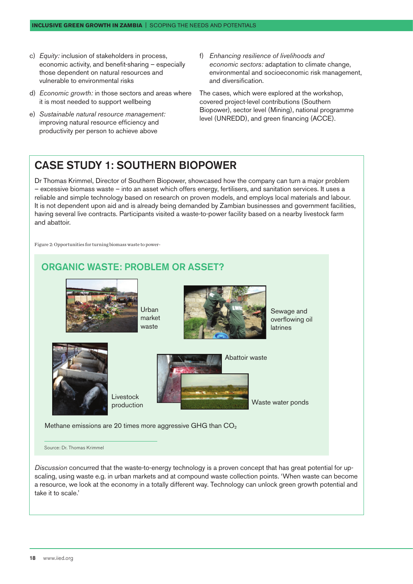- c) *Equity:* inclusion of stakeholders in process, economic activity, and benefit-sharing – especially those dependent on natural resources and vulnerable to environmental risks
- d) *Economic growth:* in those sectors and areas where it is most needed to support wellbeing
- e) *Sustainable natural resource management:*  improving natural resource efficiency and productivity per person to achieve above
- f) *Enhancing resilience of livelihoods and economic sectors:* adaptation to climate change, environmental and socioeconomic risk management, and diversification.

The cases, which were explored at the workshop, covered project-level contributions (Southern Biopower), sector level (Mining), national programme level (UNREDD), and green financing (ACCE).

#### Case Study 1: Southern Biopower

Dr Thomas Krimmel, Director of Southern Biopower, showcased how the company can turn a major problem – excessive biomass waste – into an asset which offers energy, fertilisers, and sanitation services. It uses a reliable and simple technology based on research on proven models, and employs local materials and labour. It is not dependent upon aid and is already being demanded by Zambian businesses and government facilities, having several live contracts. Participants visited a waste-to-power facility based on a nearby livestock farm and abattoir.

Figure 2: Opportunities for turning biomass waste to power-

## Sewage and overflowing oil latrines Waste water ponds Livestock production Abattoir waste Urban market waste ORGANIC WASTE: PROBLEM OR ASSET? Methane emissions are 20 times more aggressive GHG than  $CO<sub>2</sub>$

Source: Dr. Thomas Krimmel

*Discussion* concurred that the waste-to-energy technology is a proven concept that has great potential for upscaling, using waste e.g. in urban markets and at compound waste collection points. 'When waste can become a resource, we look at the economy in a totally different way. Technology can unlock green growth potential and take it to scale.'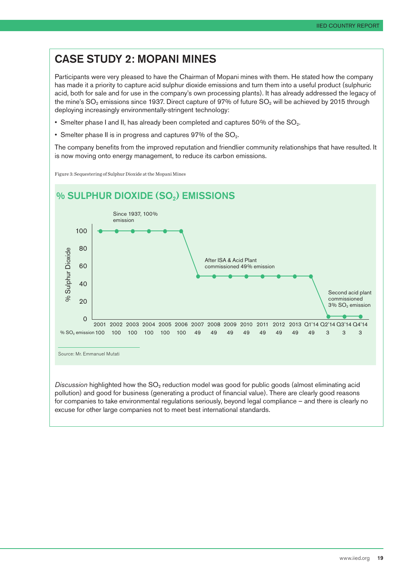### Case Study 2: Mopani Mines

Participants were very pleased to have the Chairman of Mopani mines with them. He stated how the company has made it a priority to capture acid sulphur dioxide emissions and turn them into a useful product (sulphuric acid, both for sale and for use in the company's own processing plants). It has already addressed the legacy of the mine's  $SO_2$  emissions since 1937. Direct capture of 97% of future  $SO_2$  will be achieved by 2015 through deploying increasingly environmentally-stringent technology:

- Smelter phase I and II, has already been completed and captures 50% of the SO<sub>2</sub>.
- Smelter phase II is in progress and captures  $97\%$  of the  $SO_2$ .

The company benefits from the improved reputation and friendlier community relationships that have resulted. It is now moving onto energy management, to reduce its carbon emissions.

Figure 3: Sequestering of Sulphur Dioxide at the Mopani Mines



*Discussion* highlighted how the SO<sub>2</sub> reduction model was good for public goods (almost eliminating acid pollution) and good for business (generating a product of financial value). There are clearly good reasons for companies to take environmental regulations seriously, beyond legal compliance – and there is clearly no excuse for other large companies not to meet best international standards.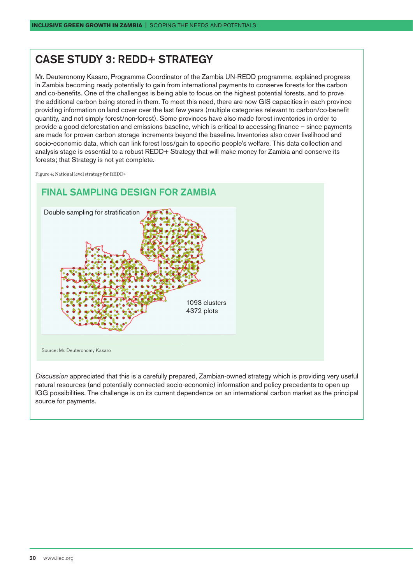#### Case Study 3: REDD+ Strategy

Mr. Deuteronomy Kasaro, Programme Coordinator of the Zambia UN-REDD programme, explained progress in Zambia becoming ready potentially to gain from international payments to conserve forests for the carbon and co-benefits. One of the challenges is being able to focus on the highest potential forests, and to prove the additional carbon being stored in them. To meet this need, there are now GIS capacities in each province providing information on land cover over the last few years (multiple categories relevant to carbon/co-benefit quantity, and not simply forest/non-forest). Some provinces have also made forest inventories in order to provide a good deforestation and emissions baseline, which is critical to accessing finance – since payments are made for proven carbon storage increments beyond the baseline. Inventories also cover livelihood and socio-economic data, which can link forest loss/gain to specific people's welfare. This data collection and analysis stage is essential to a robust REDD+ Strategy that will make money for Zambia and conserve its forests; that Strategy is not yet complete*.* 

Figure 4: National level strategy for REDD+



*Discussion* appreciated that this is a carefully prepared, Zambian-owned strategy which is providing very useful natural resources (and potentially connected socio-economic) information and policy precedents to open up IGG possibilities. The challenge is on its current dependence on an international carbon market as the principal source for payments.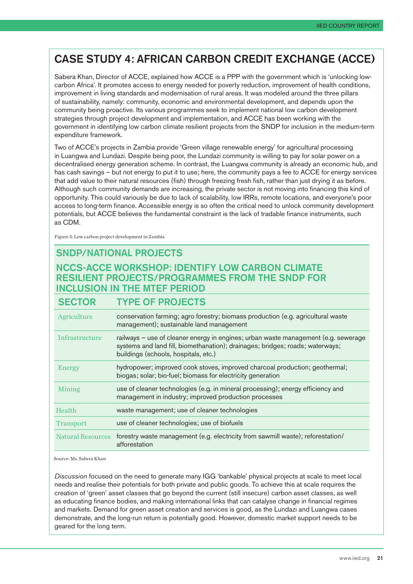### Case Study 4: African Carbon Credit Exchange (ACCE)

Sabera Khan, Director of ACCE, explained how ACCE is a PPP with the government which is 'unlocking lowcarbon Africa'. It promotes access to energy needed for poverty reduction, improvement of health conditions, improvement in living standards and modernisation of rural areas. It was modeled around the three pillars of sustainability, namely: community, economic and environmental development, and depends upon the community being proactive. Its various programmes seek to implement national low carbon development strategies through project development and implementation, and ACCE has been working with the government in identifying low carbon climate resilient projects from the SNDP for inclusion in the medium-term expenditure framework.

Two of ACCE's projects in Zambia provide 'Green village renewable energy' for agricultural processing in Luangwa and Lundazi. Despite being poor, the Lundazi community is willing to pay for solar power on a decentralised energy generation scheme. In contrast, the Luangwa community is already an economic hub, and has cash savings – but not energy to put it to use; here, the community pays a fee to ACCE for energy services that add value to their natural resources (fish) through freezing fresh fish, rather than just drying it as before. Although such community demands are increasing, the private sector is not moving into financing this kind of opportunity. This could variously be due to lack of scalability, low IRRs, remote locations, and everyone's poor access to long-term finance. Accessible energy is so often the critical need to unlock community development potentials, but ACCE believes the fundamental constraint is the lack of tradable finance instruments, such as CDM.

Figure 5: Low carbon project development in Zambia

#### SNDP/NATIONAL PROJECTS NCCS-ACCE workshop: IDENTIFY LOW CARBON CLIMATE RESILIENT PROJECTS/PROGRAMMES FROM THE SNDP FOR INCLUSION IN THE MTEF PERIOD

| <b>SECTOR</b>     | <b>TYPE OF PROJECTS</b>                                                                                                                                                                                     |
|-------------------|-------------------------------------------------------------------------------------------------------------------------------------------------------------------------------------------------------------|
| Agriculture       | conservation farming; agro forestry; biomass production (e.g. agricultural waste<br>management); sustainable land management                                                                                |
| Infrastructure    | railways - use of cleaner energy in engines; urban waste management (e.g. sewerage<br>systems and land fill, biomethanation); drainages; bridges; roads; waterways;<br>buildings (schools, hospitals, etc.) |
| Energy            | hydropower; improved cook stoves, improved charcoal production; geothermal;<br>biogas; solar; bio-fuel; biomass for electricity generation                                                                  |
| Mining            | use of cleaner technologies (e.g. in mineral processing); energy efficiency and<br>management in industry; improved production processes                                                                    |
| Health            | waste management; use of cleaner technologies                                                                                                                                                               |
| <b>Transport</b>  | use of cleaner technologies; use of biofuels                                                                                                                                                                |
| Natural Resources | forestry waste management (e.g. electricity from sawmill waste); reforestation/<br>afforestation                                                                                                            |

Source: Ms. Sabera Khan

*Discussion* focused on the need to generate many IGG 'bankable' physical projects at scale to meet local needs and realise their potentials for both private and public goods. To achieve this at scale requires the creation of 'green' asset classes that go beyond the current (still insecure) carbon asset classes, as well as educating finance bodies, and making international links that can catalyse change in financial regimes and markets. Demand for green asset creation and services is good, as the Lundazi and Luangwa cases demonstrate, and the long-run return is potentially good. However, domestic market support needs to be geared for the long term.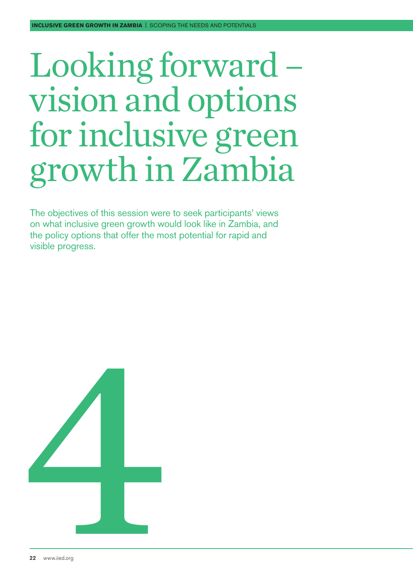# <span id="page-21-0"></span>Looking forward – vision and options for inclusive green growth in Zambia

The objectives of this session were to seek participants' views on what inclusive green growth would look like in Zambia, and the policy options that offer the most potential for rapid and visible progress.

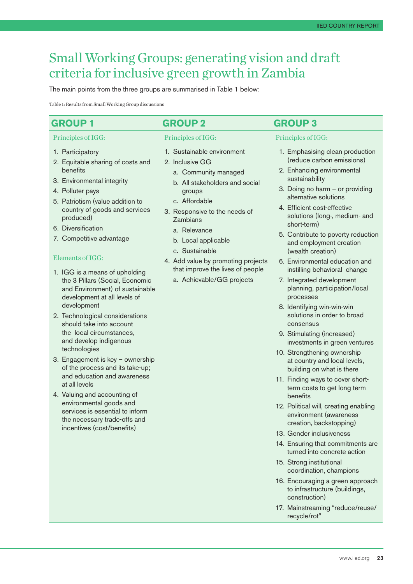## Small Working Groups: generating vision and draft criteria for inclusive green growth in Zambia

The main points from the three groups are summarised in Table 1 below:

Table 1: Results from Small Working Group discussions

#### **Group 1 Group 2 Group 3**

#### Principles of IGG:

- 1. Participatory
- 2. Equitable sharing of costs and benefits
- 3. Environmental integrity
- 4. Polluter pays
- 5. Patriotism (value addition to country of goods and services produced)
- 6. Diversification
- 7. Competitive advantage

#### Elements of IGG:

- 1. IGG is a means of upholding the 3 Pillars (Social, Economic and Environment) of sustainable development at all levels of development
- 2. Technological considerations should take into account the local circumstances, and develop indigenous technologies
- 3. Engagement is key ownership of the process and its take-up; and education and awareness at all levels
- 4. Valuing and accounting of environmental goods and services is essential to inform the necessary trade-offs and incentives (cost/benefits)

#### Principles of IGG:

- 1. Sustainable environment
- 2. Inclusive GG
	- a. Community managed
	- b. All stakeholders and social groups
	- c. Affordable
- 3. Responsive to the needs of Zambians
	- a. Relevance
	- b. Local applicable
	- c. Sustainable
- 4. Add value by promoting projects that improve the lives of people
	- a. Achievable/GG projects

#### Principles of IGG:

- 1. Emphasising clean production (reduce carbon emissions)
- 2. Enhancing environmental sustainability
- 3. Doing no harm or providing alternative solutions
- 4. Efficient cost-effective solutions (long-, medium- and short-term)
- 5. Contribute to poverty reduction and employment creation (wealth creation)
- 6. Environmental education and instilling behavioral change
- 7. Integrated development planning, participation/local processes
- 8. Identifying win-win-win solutions in order to broad consensus
- 9. Stimulating (increased) investments in green ventures
- 10. Strengthening ownership at country and local levels, building on what is there
- 11. Finding ways to cover shortterm costs to get long term benefits
- 12. Political will, creating enabling environment (awareness creation, backstopping)
- 13. Gender inclusiveness
- 14. Ensuring that commitments are turned into concrete action
- 15. Strong institutional coordination, champions
- 16. Encouraging a green approach to infrastructure (buildings, construction)
- 17. Mainstreaming "reduce/reuse/ recycle/rot"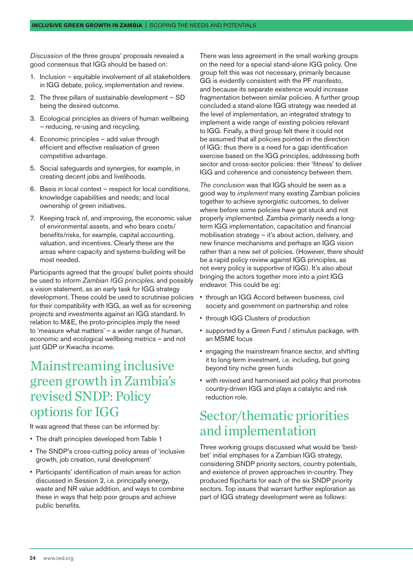*Discussion* of the three groups' proposals revealed a good consensus that IGG should be based on:

- 1. Inclusion equitable involvement of all stakeholders in IGG debate, policy, implementation and review.
- 2. The three pillars of sustainable development SD being the desired outcome.
- 3. Ecological principles as drivers of human wellbeing – reducing, re-using and recycling.
- 4. Economic principles add value through efficient and effective realisation of green competitive advantage.
- 5. Social safeguards and synergies, for example, in creating decent jobs and livelihoods.
- 6. Basis in local context respect for local conditions, knowledge capabilities and needs; and local ownership of green initiatives.
- 7. Keeping track of, and improving, the economic value of environmental assets, and who bears costs/ benefits/risks, for example, capital accounting, valuation, and incentives. Clearly these are the areas where capacity and systems-building will be most needed.

Participants agreed that the groups' bullet points should be used to inform *Zambian IGG principles*, and possibly a vision statement, as an early task for IGG strategy development. These could be used to scrutinise policies for their compatibility with IGG, as well as for screening projects and investments against an IGG standard. In relation to M&E, the proto-principles imply the need to 'measure what matters' – a wider range of human, economic and ecological wellbeing metrics – and not just GDP or Kwacha income.

## Mainstreaming inclusive green growth in Zambia's revised SNDP: Policy options for IGG

It was agreed that these can be informed by:

- The draft principles developed from Table 1
- The SNDP's cross-cutting policy areas of 'inclusive growth, job creation, rural development'
- Participants' identification of main areas for action discussed in Session 2, i.e. principally energy, waste and NR value addition, and ways to combine these in ways that help poor groups and achieve public benefits.

There was less agreement in the small working groups on the need for a special stand-alone IGG policy. One group felt this was not necessary, primarily because GG is evidently consistent with the PF manifesto, and because its separate existence would increase fragmentation between similar policies. A further group concluded a stand-alone IGG strategy was needed at the level of implementation, an integrated strategy to implement a wide range of existing policies relevant to IGG. Finally, a third group felt there it could not be assumed that all policies pointed in the direction of IGG: thus there is a need for a gap identification exercise based on the IGG principles, addressing both sector and cross-sector policies: their 'fitness' to deliver IGG and coherence and consistency between them.

*The conclusion* was that IGG should be seen as a good way to *implement* many existing Zambian policies together to achieve synergistic outcomes, to deliver where before some policies have got stuck and not properly implemented. Zambia primarily needs a longterm IGG implementation, capacitation and financial mobilisation strategy – it's about action, delivery, and new finance mechanisms and perhaps an IGG vision rather than a new set of policies. (However, there should be a rapid policy review against IGG principles, as not every policy is supportive of IGG). It's also about bringing the actors together more into a joint IGG endeavor. This could be eg:

- through an IGG Accord between business, civil society and government on partnership and roles
- through IGG Clusters of production
- supported by a Green Fund / stimulus package, with an MSME focus
- engaging the mainstream finance sector, and shifting it to long-term investment, i.e. including, but going beyond tiny niche green funds
- with revised and harmonised aid policy that promotes country-driven IGG and plays a catalytic and risk reduction role.

## Sector/thematic priorities and implementation

Three working groups discussed what would be 'bestbet' initial emphases for a Zambian IGG strategy, considering SNDP priority sectors, country potentials, and existence of proven approaches in-country. They produced flipcharts for each of the six SNDP priority sectors. Top issues that warrant further exploration as part of IGG strategy development were as follows: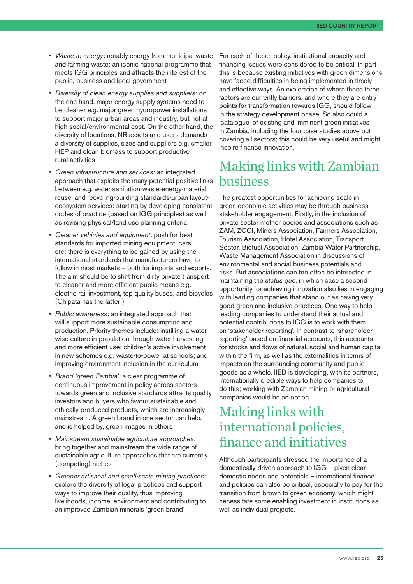- *Waste to energy*: notably energy from municipal waste and farming waste: an iconic national programme that meets IGG principles and attracts the interest of the public, business and local government
- *Diversity of clean energy supplies and suppliers*: on the one hand, major energy supply systems need to be cleaner e.g. major green hydropower installations to support major urban areas and industry, but not at high social/environmental cost. On the other hand, the diversity of locations, NR assets and users demands a diversity of supplies, sizes and suppliers e.g. smaller HEP and clean biomass to support productive rural activities
- *Green infrastructure and services*: an integrated approach that exploits the many potential positive links between e.g. water-sanitation-waste-energy-material reuse, and recycling-building standards-urban layoutecosystem services: starting by developing consistent codes of practice (based on IGG principles) as well as revising physical/land use planning criteria
- *Cleaner vehicles and equipment*: push for best standards for imported mining equipment, cars, etc: there is everything to be gained by using the international standards that manufacturers have to follow in most markets – both for imports and exports. The aim should be to shift from dirty private transport to cleaner and more efficient public means e.g. electric rail investment, top quality buses, and bicycles (Chipata has the latter!)
- *Public awareness*: an integrated approach that will support more sustainable consumption and production. Priority themes include: instilling a waterwise culture in population through water harvesting and more efficient use; children's active involvement in new schemes e.g. waste-to-power at schools; and improving environment inclusion in the curriculum
- *Brand 'green Zambia'*: a clear programme of continuous improvement in policy across sectors towards green and inclusive standards attracts quality investors and buyers who favour sustainable and ethically-produced products, which are increasingly mainstream. A green brand in one sector can help, and is helped by, green images in others
- *Mainstream sustainable agriculture approaches*: bring together and mainstream the wide range of sustainable agriculture approaches that are currently (competing) niches
- *Greener artisanal and small-scale mining practices*: explore the diversity of legal practices and support ways to improve their quality, thus improving livelihoods, income, environment and contributing to an improved Zambian minerals 'green brand'.

For each of these, policy, institutional capacity and financing issues were considered to be critical. In part this is because existing initiatives with green dimensions have faced difficulties in being implemented in timely and effective ways. An exploration of where these three factors are currently barriers, and where they are entry points for transformation towards IGG, should follow in the strategy development phase. So also could a 'catalogue' of existing and imminent green initiatives in Zambia, including the four case studies above but covering all sectors; this could be very useful and might inspire finance innovation.

### Making links with Zambian business

The greatest opportunities for achieving scale in green economic activities may be through business stakeholder engagement. Firstly, in the inclusion of private sector mother bodies and associations such as ZAM, ZCCI, Miners Association, Farmers Association, Tourism Association, Hotel Association, Transport Sector, Biofuel Association, Zambia Water Partnership, Waste Management Association in discussions of environmental and social business potentials and risks. But associations can too often be interested in maintaining the *status quo*, in which case a second opportunity for achieving innovation also lies in engaging with leading companies that stand out as having very good green and inclusive practices. One way to help leading companies to understand their actual and potential contributions to IGG is to work with them on 'stakeholder reporting'. In contrast to 'shareholder reporting' based on financial accounts, this accounts for stocks and flows of natural, social and human capital within the firm, as well as the externalities in terms of impacts on the surrounding community and public goods as a whole. IIED is developing, with its partners, internationally credible ways to help companies to do this; working with Zambian mining or agricultural companies would be an option.

## Making links with international policies, finance and initiatives

Although participants stressed the importance of a domestically-driven approach to IGG – given clear domestic needs and potentials – international finance and policies can also be critical, especially to pay for the transition from brown to green economy, which might necessitate some enabling investment in institutions as well as individual projects.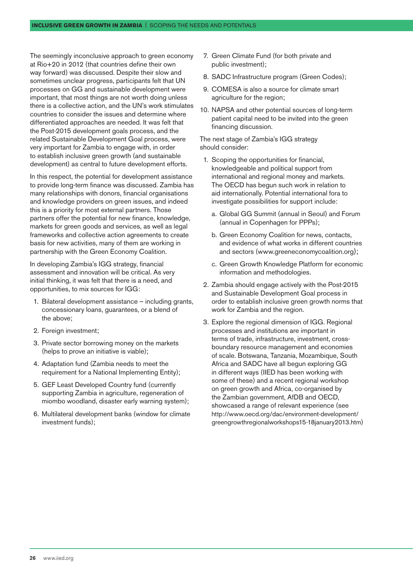The seemingly inconclusive approach to green economy at Rio+20 in 2012 (that countries define their own way forward) was discussed. Despite their slow and sometimes unclear progress, participants felt that UN processes on GG and sustainable development were important, that most things are not worth doing unless there is a collective action, and the UN's work stimulates countries to consider the issues and determine where differentiated approaches are needed. It was felt that the Post-2015 development goals process, and the related Sustainable Development Goal process, were very important for Zambia to engage with, in order to establish inclusive green growth (and sustainable development) as central to future development efforts.

In this respect, the potential for development assistance to provide long-term finance was discussed. Zambia has many relationships with donors, financial organisations and knowledge providers on green issues, and indeed this is a priority for most external partners. Those partners offer the potential for new finance, knowledge, markets for green goods and services, as well as legal frameworks and collective action agreements to create basis for new activities, many of them are working in partnership with the Green Economy Coalition.

In developing Zambia's IGG strategy, financial assessment and innovation will be critical. As very initial thinking, it was felt that there is a need, and opportunities, to mix sources for IGG:

- 1. Bilateral development assistance including grants, concessionary loans, guarantees, or a blend of the above;
- 2. Foreign investment:
- 3. Private sector borrowing money on the markets (helps to prove an initiative is viable);
- 4. Adaptation fund (Zambia needs to meet the requirement for a National Implementing Entity);
- 5. GEF Least Developed Country fund (currently supporting Zambia in agriculture, regeneration of miombo woodland, disaster early warning system);
- 6. Multilateral development banks (window for climate investment funds);
- 7. Green Climate Fund (for both private and public investment);
- 8. SADC Infrastructure program (Green Codes);
- 9. COMESA is also a source for climate smart agriculture for the region;
- 10. NAPSA and other potential sources of long-term patient capital need to be invited into the green financing discussion.

The next stage of Zambia's IGG strategy should consider:

- 1. Scoping the opportunities for financial, knowledgeable and political support from international and regional money and markets. The OECD has begun such work in relation to aid internationally. Potential international fora to investigate possibilities for support include:
	- a. Global GG Summit (annual in Seoul) and Forum (annual in Copenhagen for PPPs);
	- b. Green Economy Coalition for news, contacts, and evidence of what works in different countries and sectors ([www.greeneconomycoalition.org](http://www.greeneconomycoalition.org));
	- c. Green Growth Knowledge Platform for economic information and methodologies.
- 2. Zambia should engage actively with the Post-2015 and Sustainable Development Goal process in order to establish inclusive green growth norms that work for Zambia and the region.
- 3. Explore the regional dimension of IGG. Regional processes and institutions are important in terms of trade, infrastructure, investment, crossboundary resource management and economies of scale. Botswana, Tanzania, Mozambique, South Africa and SADC have all begun exploring GG in different ways (IIED has been working with some of these) and a recent regional workshop on green growth and Africa, co-organised by the Zambian government, AfDB and OECD, showcased a range of relevant experience (see [http://www.oecd.org/dac/environment-development/](http://www.oecd.org/dac/environment-development/greengrowthregionalworkshops15-18january2013.htm) [greengrowthregionalworkshops15-18january2013.htm\)](http://www.oecd.org/dac/environment-development/greengrowthregionalworkshops15-18january2013.htm)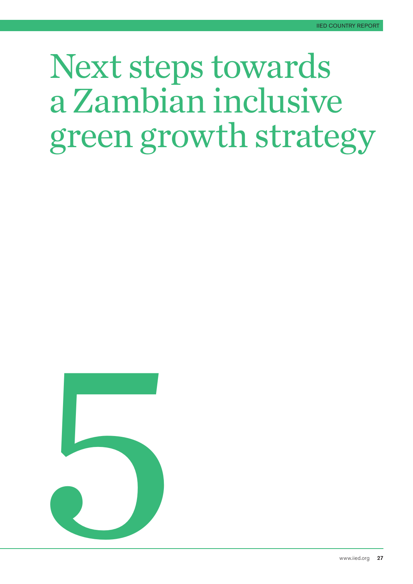## <span id="page-26-0"></span>Next steps towards a Zambian inclusive green growth strategy

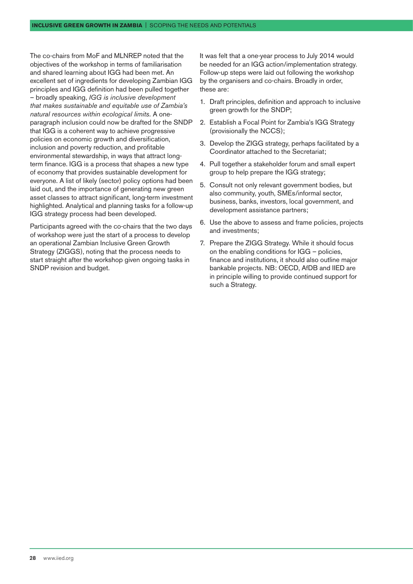The co-chairs from MoF and MLNREP noted that the objectives of the workshop in terms of familiarisation and shared learning about IGG had been met. An excellent set of ingredients for developing Zambian IGG principles and IGG definition had been pulled together – broadly speaking, *IGG is inclusive development that makes sustainable and equitable use of Zambia's natural resources within ecological limits.* A oneparagraph inclusion could now be drafted for the SNDP that IGG is a coherent way to achieve progressive policies on economic growth and diversification, inclusion and poverty reduction, and profitable environmental stewardship, in ways that attract longterm finance. IGG is a process that shapes a new type of economy that provides sustainable development for everyone. A list of likely (sector) policy options had been laid out, and the importance of generating new green asset classes to attract significant, long-term investment highlighted. Analytical and planning tasks for a follow-up IGG strategy process had been developed.

Participants agreed with the co-chairs that the two days of workshop were just the start of a process to develop an operational Zambian Inclusive Green Growth Strategy (ZIGGS), noting that the process needs to start straight after the workshop given ongoing tasks in SNDP revision and budget.

It was felt that a one-year process to July 2014 would be needed for an IGG action/implementation strategy. Follow-up steps were laid out following the workshop by the organisers and co-chairs. Broadly in order, these are:

- 1. Draft principles, definition and approach to inclusive green growth for the SNDP;
- 2. Establish a Focal Point for Zambia's IGG Strategy (provisionally the NCCS);
- 3. Develop the ZIGG strategy, perhaps facilitated by a Coordinator attached to the Secretariat;
- 4. Pull together a stakeholder forum and small expert group to help prepare the IGG strategy;
- 5. Consult not only relevant government bodies, but also community, youth, SMEs/informal sector, business, banks, investors, local government, and development assistance partners;
- 6. Use the above to assess and frame policies, projects and investments;
- 7. Prepare the ZIGG Strategy. While it should focus on the enabling conditions for IGG – policies, finance and institutions, it should also outline major bankable projects. NB: OECD, AfDB and IIED are in principle willing to provide continued support for such a Strategy.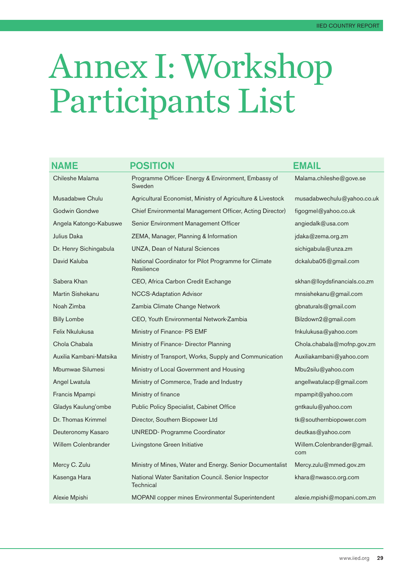# <span id="page-28-0"></span>Annex I: Workshop Participants List

| <b>NAME</b>                | <b>POSITION</b>                                                    | <b>EMAIL</b>                      |
|----------------------------|--------------------------------------------------------------------|-----------------------------------|
| Chileshe Malama            | Programme Officer- Energy & Environment, Embassy of<br>Sweden      | Malama.chileshe@gove.se           |
| Musadabwe Chulu            | Agricultural Economist, Ministry of Agriculture & Livestock        | musadabwechulu@yahoo.co.uk        |
| Godwin Gondwe              | Chief Environmental Management Officer, Acting Director)           | figogmel@yahoo.co.uk              |
| Angela Katongo-Kabuswe     | Senior Environment Management Officer                              | angiedalk@usa.com                 |
| Julius Daka                | ZEMA, Manager, Planning & Information                              | jdaka@zema.org.zm                 |
| Dr. Henry Sichingabula     | <b>UNZA, Dean of Natural Sciences</b>                              | sichigabula@unza.zm               |
| David Kaluba               | National Coordinator for Pilot Programme for Climate<br>Resilience | dckaluba05@gmail.com              |
| Sabera Khan                | CEO, Africa Carbon Credit Exchange                                 | skhan@lloydsfinancials.co.zm      |
| Martin Sishekanu           | <b>NCCS-Adaptation Advisor</b>                                     | mnsishekanu@gmail.com             |
| Noah Zimba                 | Zambia Climate Change Network                                      | gbnaturals@gmail.com              |
| <b>Billy Lombe</b>         | CEO, Youth Environmental Network-Zambia                            | Bilzdown2@gmail.com               |
| Felix Nkulukusa            | Ministry of Finance- PS EMF                                        | fnkulukusa@yahoo.com              |
| Chola Chabala              | Ministry of Finance- Director Planning                             | Chola.chabala@mofnp.gov.zm        |
| Auxilia Kambani-Matsika    | Ministry of Transport, Works, Supply and Communication             | Auxiliakambani@yahoo.com          |
| Mbumwae Silumesi           | Ministry of Local Government and Housing                           | Mbu2silu@yahoo.com                |
| Angel Lwatula              | Ministry of Commerce, Trade and Industry                           | angellwatulacp@gmail.com          |
| Francis Mpampi             | Ministry of finance                                                | mpampit@yahoo.com                 |
| Gladys Kaulung'ombe        | Public Policy Specialist, Cabinet Office                           | gntkaulu@yahoo.com                |
| Dr. Thomas Krimmel         | Director, Southern Biopower Ltd                                    | tk@southernbiopower.com           |
| Deuteronomy Kasaro         | <b>UNREDD- Programme Coordinator</b>                               | deutkas@yahoo.com                 |
| <b>Willem Colenbrander</b> | Livingstone Green Initiative                                       | Willem.Colenbrander@gmail.<br>com |
| Mercy C. Zulu              | Ministry of Mines, Water and Energy. Senior Documentalist          | Mercy.zulu@mmed.gov.zm            |
| Kasenga Hara               | National Water Sanitation Council. Senior Inspector<br>Technical   | khara@nwasco.org.com              |
| Alexie Mpishi              | MOPANI copper mines Environmental Superintendent                   | alexie.mpishi@mopani.com.zm       |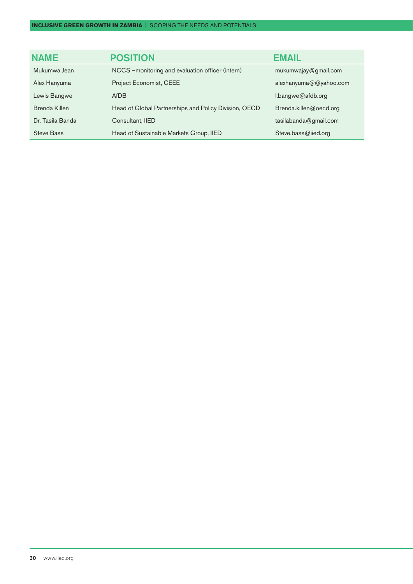| <b>NAME</b>       | <b>POSITION</b>                                       | <b>EMAIL</b>           |
|-------------------|-------------------------------------------------------|------------------------|
| Mukumwa Jean      | NCCS - monitoring and evaluation officer (intern)     | mukumwajay@gmail.com   |
| Alex Hanyuma      | Project Economist, CEEE                               | alexhanyuma@@yahoo.com |
| Lewis Bangwe      | AfDB                                                  | l.bangwe@afdb.org      |
| Brenda Killen     | Head of Global Partnerships and Policy Division, OECD | Brenda.killen@oecd.org |
| Dr. Tasila Banda  | Consultant, IIED                                      | tasilabanda@gmail.com  |
| <b>Steve Bass</b> | Head of Sustainable Markets Group, IIED               | Steve.bass@iied.org    |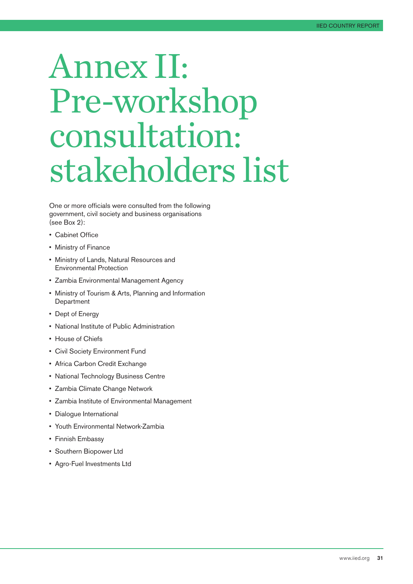## <span id="page-30-0"></span>Annex II: Pre-workshop consultation: stakeholders list

One or more officials were consulted from the following government, civil society and business organisations (see Box 2):

- Cabinet Office
- Ministry of Finance
- Ministry of Lands, Natural Resources and Environmental Protection
- Zambia Environmental Management Agency
- Ministry of Tourism & Arts, Planning and Information **Department**
- Dept of Energy
- National Institute of Public Administration
- House of Chiefs
- Civil Society Environment Fund
- Africa Carbon Credit Exchange
- National Technology Business Centre
- Zambia Climate Change Network
- Zambia Institute of Environmental Management
- Dialogue International
- Youth Environmental Network-Zambia
- Finnish Embassy
- Southern Biopower Ltd
- Agro-Fuel Investments Ltd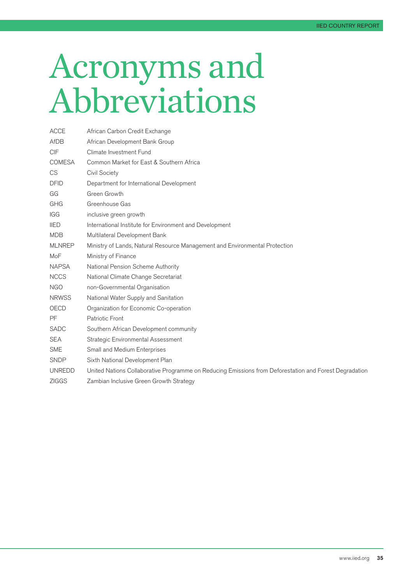## <span id="page-34-0"></span>Acronyms and Abbreviations

| <b>ACCE</b>   | African Carbon Credit Exchange                                                                         |
|---------------|--------------------------------------------------------------------------------------------------------|
| AfDB          | African Development Bank Group                                                                         |
| <b>CIF</b>    | Climate Investment Fund                                                                                |
| <b>COMESA</b> | Common Market for East & Southern Africa                                                               |
| <b>CS</b>     | <b>Civil Society</b>                                                                                   |
| <b>DFID</b>   | Department for International Development                                                               |
| GG            | Green Growth                                                                                           |
| GHG           | Greenhouse Gas                                                                                         |
| IGG           | inclusive green growth                                                                                 |
| <b>IIED</b>   | International Institute for Environment and Development                                                |
| <b>MDB</b>    | Multilateral Development Bank                                                                          |
| <b>MLNREP</b> | Ministry of Lands, Natural Resource Management and Environmental Protection                            |
| MoF           | Ministry of Finance                                                                                    |
| <b>NAPSA</b>  | National Pension Scheme Authority                                                                      |
| <b>NCCS</b>   | National Climate Change Secretariat                                                                    |
| <b>NGO</b>    | non-Governmental Organisation                                                                          |
| <b>NRWSS</b>  | National Water Supply and Sanitation                                                                   |
| OECD          | Organization for Economic Co-operation                                                                 |
| <b>PF</b>     | <b>Patriotic Front</b>                                                                                 |
| <b>SADC</b>   | Southern African Development community                                                                 |
| <b>SEA</b>    | Strategic Environmental Assessment                                                                     |
| <b>SME</b>    | Small and Medium Enterprises                                                                           |
| <b>SNDP</b>   | Sixth National Development Plan                                                                        |
| <b>UNREDD</b> | United Nations Collaborative Programme on Reducing Emissions from Deforestation and Forest Degradation |
| <b>ZIGGS</b>  | Zambian Inclusive Green Growth Strategy                                                                |
|               |                                                                                                        |